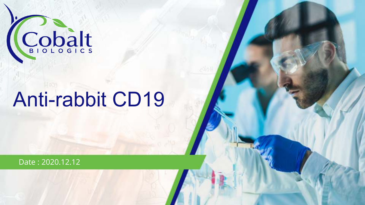

# Anti-rabbit CD19

Date : 2020.12.12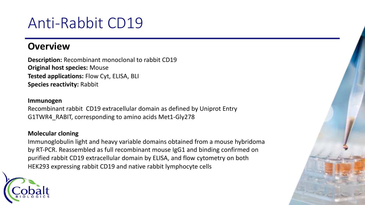## Anti-Rabbit CD19

#### **Overview**

**Description:** Recombinant monoclonal to rabbit CD19 **Original host species:** Mouse **Tested applications:** Flow Cyt, ELISA, BLI **Species reactivity:** Rabbit

#### **Immunogen**

Recombinant rabbit CD19 extracellular domain as defined by Uniprot Entry G1TWR4\_RABIT, corresponding to amino acids Met1-Gly278

#### **Molecular cloning**

Immunoglobulin light and heavy variable domains obtained from a mouse hybridoma by RT-PCR. Reassembled as full recombinant mouse IgG1 and binding confirmed on purified rabbit CD19 extracellular domain by ELISA, and flow cytometry on both HEK293 expressing rabbit CD19 and native rabbit lymphocyte cells

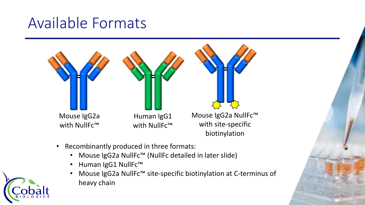### Available Formats



- Recombinantly produced in three formats:
	- Mouse IgG2a NullFc™ (NullFc detailed in later slide)
	- Human IgG1 NullFc™
	- Mouse IgG2a NullFc™ site-specific biotinylation at C-terminus of heavy chain

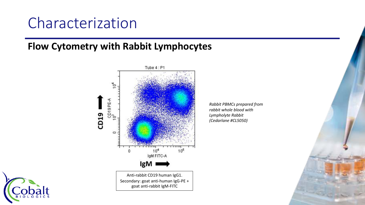#### **Flow Cytometry with Rabbit Lymphocytes**



*Rabbit PBMCs prepared from rabbit whole blood with Lympholyte Rabbit (Cedarlane #CL5050)*

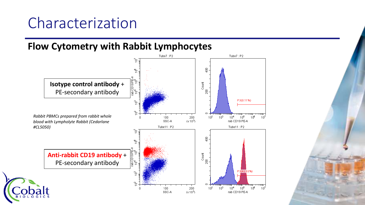#### **Flow Cytometry with Rabbit Lymphocytes**

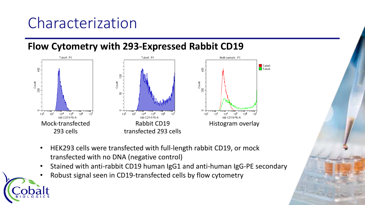#### **Flow Cytometry with 293-Expressed Rabbit CD19**



- HEK293 cells were transfected with full-length rabbit CD19, or mock transfected with no DNA (negative control)
- Stained with anti-rabbit CD19 human IgG1 and anti-human IgG-PE secondary

6

• Robust signal seen in CD19-transfected cells by flow cytometry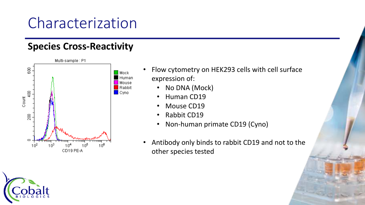#### **Species Cross-Reactivity**



- Flow cytometry on HEK293 cells with cell surface expression of:
	- No DNA (Mock)
	- Human CD19
	- Mouse CD19
	- Rabbit CD19
	- Non-human primate CD19 (Cyno)
- Antibody only binds to rabbit CD19 and not to the other species tested

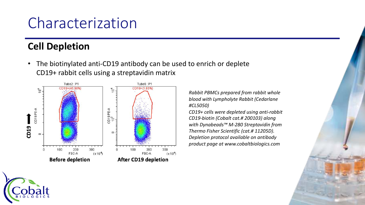### **Cell Depletion**

• The biotinylated anti-CD19 antibody can be used to enrich or deplete CD19+ rabbit cells using a streptavidin matrix



*Rabbit PBMCs prepared from rabbit whole blood with Lympholyte Rabbit (Cedarlane #CL5050)*

*CD19+ cells were depleted using anti-rabbit CD19-biotin (Cobalt cat.# 200103) along with Dynabeads™ M-280 Streptavidin from Thermo Fisher Scientific (cat.# 11205D). Depletion protocol available on antibody product page at www.cobaltbiologics.com*

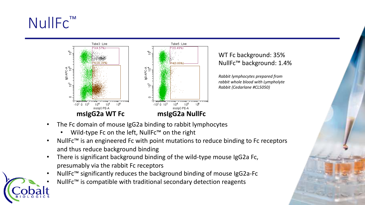## NullFc<sup>™</sup>



- The Fc domain of mouse IgG2a binding to rabbit lymphocytes
	- Wild-type Fc on the left, NullFc™ on the right
- NullFc™ is an engineered Fc with point mutations to reduce binding to Fc receptors and thus reduce background binding

- There is significant background binding of the wild-type mouse IgG2a Fc, presumably via the rabbit Fc receptors
- NullFc™ significantly reduces the background binding of mouse IgG2a-Fc
- NullFc<sup>™</sup> is compatible with traditional secondary detection reagents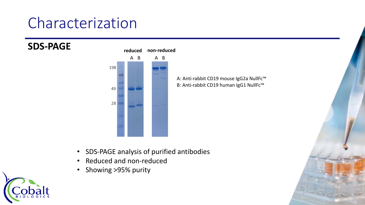

A: Anti-rabbit CD19 mouse IgG2a NullFc™ B: Anti-rabbit CD19 human IgG1 NullFc™

- SDS-PAGE analysis of purified antibodies
- Reduced and non-reduced
- Showing >95% purity